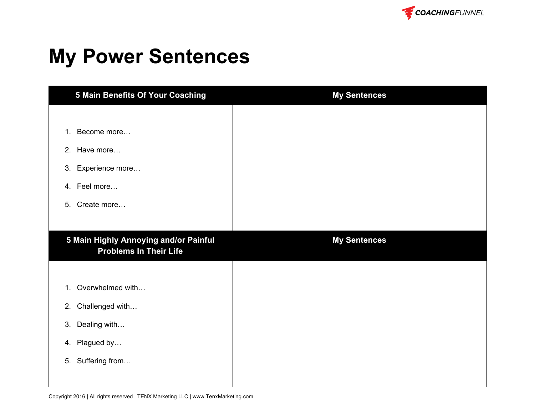

## **My Power Sentences**

| <b>5 Main Benefits Of Your Coaching</b>                                | <b>My Sentences</b> |
|------------------------------------------------------------------------|---------------------|
|                                                                        |                     |
| Become more<br>1 <sub>1</sub>                                          |                     |
| 2. Have more                                                           |                     |
| Experience more<br>3.                                                  |                     |
| 4. Feel more                                                           |                     |
| Create more<br>5.                                                      |                     |
|                                                                        |                     |
| 5 Main Highly Annoying and/or Painful<br><b>Problems In Their Life</b> | <b>My Sentences</b> |
|                                                                        |                     |
| Overwhelmed with<br>1 <sub>1</sub>                                     |                     |
| Challenged with<br>2.                                                  |                     |
| Dealing with<br>3.                                                     |                     |
| Plagued by<br>4.                                                       |                     |
| Suffering from<br>5.                                                   |                     |
|                                                                        |                     |